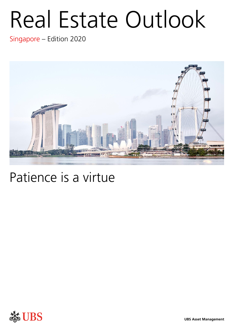# Real Estate Outlook

Singapore – Edition 2020



## Patience is a virtue

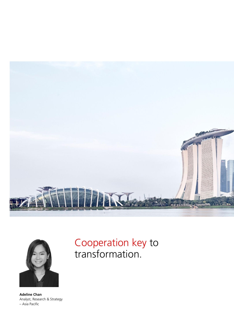



**Adeline Chan** Analyst, Research & Strategy – Asia Pacific

## Cooperation key to transformation.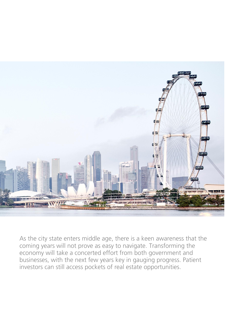

As the city state enters middle age, there is a keen awareness that the coming years will not prove as easy to navigate. Transforming the economy will take a concerted effort from both government and businesses, with the next few years key in gauging progress. Patient investors can still access pockets of real estate opportunities.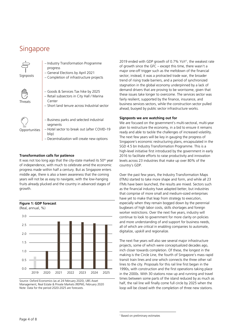### **Singapore**



#### **Transformation calls for patience**

It was not too long ago that the city-state marked its 50<sup>th</sup> year of independence, with much to celebrate amid the economic progress made within half a century. But as Singapore enters middle age, there is also a keen awareness that the coming years will not be as easy to navigate, with the low-hanging fruits already plucked and the country in advanced stages of growth.





Source: Oxford Economics (as at 24 February 2020), UBS Asset Management, Real Estate & Private Markets (REPM), February 2020 Note: Data for the period 2020-2025 are forecasts.

2019 ended with GDP growth of 0.7% YoY<sup>1</sup> , the weakest rate of growth since the GFC – except this time, there wasn't a major one-off trigger such as the meltdown of the financial sector; instead, it was a protracted trade war, the broader trend of rising trade barriers, and a period of synchronized stagnation in the global economy underpinned by a lack of demand drivers that are proving to be worrisome, given that these issues take longer to overcome. The services sector was fairly resilient, supported by the finance, insurance, and business services sectors, while the construction sector pulled ahead, buoyed by public sector infrastructure works.

#### **Signposts we are watching out for**

We are focused on the government's multi-sectoral, multi-year plan to restructure the economy, in a bid to ensure it remains ready and able to tackle the challenges of increased volatility. The next few years will be key in gauging the progress of Singapore's economic restructuring plans, encapsulated in the SGD 4.5 bn Industry Transformation Programme. This is a high-level initiative first introduced by the government in early 2016 to facilitate efforts to raise productivity and innovation levels across 23 industries that make up over 80% of the country's GDP.

Over the past few years, the Industry Transformation Maps (ITMs) started to take more shape and form, and while all 23 ITMs have been launched, the results are mixed. Sectors such as the financial industry have adapted better, but industries that comprise of more small and medium-sized enterprises have yet to make that leap from strategy to execution, especially when they remain bogged down by the perennial bugbears of high labor costs, skills shortages and foreign worker restrictions. Over the next five years, industry will continue to look to government for more clarity on policies and more understanding of and support for business needs, all of which are critical in enabling companies to automate, digitalize, upskill and regionalize.

The next five years will also see several major infrastructure projects, some of which were conceptualized decades ago, inch closer towards completion. Of these, the longest in the making is the Circle Line, the fourth of Singapore's mass rapid transit train lines and one which connects the three other rail lines to the city. Proposals for this rail line first began in the 1990s, with construction and the first operations taking place in the 2000s. With 30 stations now up and running and travel times between some parts of the island reduced by as much as half, the rail line will finally come full circle by 2025 when the loop will be closed with the completion of three new stations.

1

<sup>1</sup> Based on preliminary estimates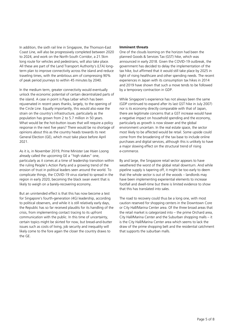In addition, the sixth rail line in Singapore, the Thomson-East Coast Line, will also be progressively completed between 2020 to 2024, and work on the North-South Corridor, a 21.5km long route for vehicles and pedestrians, will also take place. All these are part of the Land Transport Authority's (LTA) longterm plan to improve connectivity across the island and reduce traveling times, with the ambitious aim of compressing 90% of peak period journeys to within 45 minutes by 2040.

In the medium term, greater connectivity would eventually unlock the economic potential of certain decentralized parts of the island. A case in point is Paya Lebar which has been rejuvenated in recent years thanks, largely, to the opening of the Circle Line. Equally importantly, this would also ease the strain on the country's infrastructure, particularly as the population has grown from 2 to 5.7 million in 50 years. What would be the hot-button issues that will require a policy response in the next five years? There would be no shortage of opinions about this as the country heads towards its next General Election (GE), which must take place before April 2021.

As it is, in November 2019, Prime Minister Lee Hsien Loong already called the upcoming GE a "high stakes" one, particularly as it comes at a time of leadership transition within the ruling People's Action Party and a growing trend of the erosion of trust in political leaders seen around the world. To complicate things, the COVID-19 virus started to spread in the region in early 2020, becoming the black swan event that is likely to weigh on a barely-recovering economy.

But an unintended effect is that this has now become a test for Singapore's fourth-generation (4G) leadership, according to political observers, and while it is still relatively early days, the Republic has so far received plaudits for its handling of the crisis, from implementing contact tracing to its upfront communication with the public. In this time of uncertainty, certain topics might be skirted for now, but bread-and-butter issues such as costs of living, job security and inequality will likely come to the fore again the closer the country draws to the GE.

#### **Imminent threats**

One of the clouds looming on the horizon had been the planned Goods & Services Tax (GST) hike, which was announced in early 2018. Given the COVID-19 outbreak, the government has decided to delay the implementation of the tax hike, but affirmed that it would still take place by 2025 in light of rising healthcare and other spending needs. The recent experiences in Japan with its consumption tax hikes in 2014 and 2019 have shown that such a move tends to be followed by a temporary contraction in GDP.

While Singapore's experience has not always been the same (GDP continued to expand after its last GST hike in July 2007) nor is its economy directly comparable with that of Japan, there are legitimate concerns that a GST increase would have a negative impact on household spending and the economy, particularly as growth is now slower and the global environment uncertain. In the real estate space, the sector most likely to be affected would be retail. Some upside could come from the broadening of the tax base to include online purchases and digital services, although this is unlikely to have a major slowing effect on the structural trend of rising e-commerce.

By and large, the Singapore retail sector appears to have weathered the worst of the global retail downturn. And while pipeline supply is tapering off, it might be too early to deem that the whole sector is out of the woods – landlords may have been implementing experiential elements to increase footfall and dwell-time but there is limited evidence to show that this has translated into sales.

The road to recovery could thus be a long one, with most caution reserved for shopping centers in the Downtown Core or City Hall/Marina Center area. Of the three broad areas that the retail market is categorized into – the prime Orchard area, City Hall/Marina Center and the Suburban shopping malls – it is the City Hall/Marina Center area which seems to lack the draw of the prime shopping belt and the residential catchment that supports the suburban malls.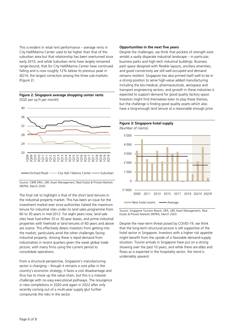This is evident in retail rent performance – average rents in City Hall/Marina Center used to be higher than that of the suburban area but that relationship has been overturned since early 2010, and while Suburban rents have largely remained range-bound, that for City Hall/Marina Center have continued falling and is now roughly 12% below its previous peak in 4Q14, the largest correction among the three sub-markets (Figure 2).



#### **Figure 2: Singapore average shopping center rents** (SGD per sq ft per month)

Source: CBRE ERIX, UBS Asset Management, Real Estate & Private Markets (REPM), March 2020

The final risk to highlight is that of the short land tenures in the industrial property market. This has been an issue for the investment market ever since authorities halved the maximum tenure for industrial sites under its land sales programme from 60 to 30 years in mid-2012. For eight years now, land sale sites have had either 20 or 30-year leases, and prime industrial properties with freehold or land tenures of 60 years and above are scarce. This effectively deters investors from getting into the market, particularly amid the other challenges facing industrial property. Among these is tepid demand from industrialists in recent quarters given the weak global trade picture, with many firms using the current period to consolidate operations.

From a structural perspective, Singapore's manufacturing sector is changing – though it remains a core pillar in the country's economic strategy, it faces a cost disadvantage and thus has to move up the value chain, but this is a massive challenge with no easy executional pathways. The resurgence in new completions in 2020 and again in 2022 after only recently coming out of a multi-year supply glut further compounds the risks in the sector.

#### **Opportunities in the next five years**

**Figure 3: Singapore hotel supply**

Despite the challenges, we think that pockets of strength exist amidst a vastly disparate industrial landscape – in particular, business parks and high-tech industrial buildings. Business park space designed with flexible layouts, ancillary amenities, and good connectivity are still well-occupied and demand remains resilient. Singapore has also primed itself well to be in a strong position to serve high-value added manufacturing including the bio-medical, pharmaceuticals, aerospace and transport engineering sectors, and growth in these industries is expected to support demand for good quality factory space. Investors might find themselves keen to play these themes, but the challenge is finding good quality assets which also have a long-enough land tenure at a reasonable enough price.

(Number of rooms) (1'000)  $\Omega$ 1'000 2'000 3'000 4'000 5'000 2009 2011 2013 2015 2017 2019 2021F 2023F New hotel rooms **Average** 

Source: Singapore Tourism Board, URA, UBS Asset Management, Real Estate & Private Markets (REPM), March 2020

Despite the near-term threat posed by COVID-19, we think that the long-term structural picture is still supportive of the hotel sector in Singapore. Investors with a higher risk appetite might benefit from the upside of a favorable demand-supply situation. Tourist arrivals in Singapore have put on a strong showing over the past 10 years, and while there are ebbs and flows as is expected in the hospitality sector, the trend is undeniably upward.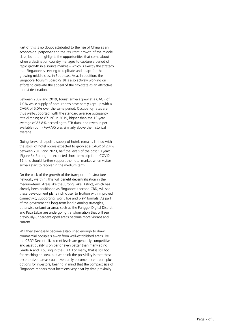Part of this is no doubt attributed to the rise of China as an economic superpower and the resultant growth of the middle class, but that highlights the opportunities that come about when a destination country manages to capture a period of rapid growth in a source market – which is exactly the strategy that Singapore is seeking to replicate and adapt for the growing middle class in Southeast Asia. In addition, the Singapore Tourism Board (STB) is also actively working on efforts to cultivate the appeal of the city -state as an attractive tourist destination.

Between 2009 and 2019, tourist arrivals grew at a CAGR of 7.0% while supply of hotel rooms have barely kept up with a CAGR of 5.0% over the same period. Occupancy rates are thus well -supported, with the standard average occupancy rate climbing to 87.1% in 2019, higher than the 10 -year average of 83.8% according to STB data, and revenue per available room (RevPAR) was similarly above the historical average.

Going forward, pipeline supply of hotels remains limited with the stock of hotel rooms expected to grow at a CAGR of 2.4% between 2019 and 2023, half the levels of the past 10 years (Figure 3). Barring the expected short -term blip from COVID - 19, this should further support the hotel market when visitor arrivals start to recover in the medium term.

On the back of the growth of the transport infrastructure network, we think this will benefit decentralization in the medium -term. Areas like the Jurong Lake District, which has already been positioned as Singapore's second CBD, will see these development plans inch closer to fruition with improved connectivity supporting 'work, live and play' formats. As part of the government's long -term land planning strategies, otherwise unfamiliar areas such as the Punggol Digital District and Paya Lebar are undergoing transformation that will see previously -underdeveloped areas become more vibrant and current.

Will they eventually become established enough to draw commercial occupiers away from well -established areas like the CBD? Decentralized rent levels are generally competitive and asset quality is on par or even better than many aging Grade A and B builing in the CBD. For many, that is still too far -reaching an idea, but we think the possibility is that these decentralized areas could eventually become decent core plus options for investors, bearing in mind that the compact size of Singapore renders most locations very near by time proximity.